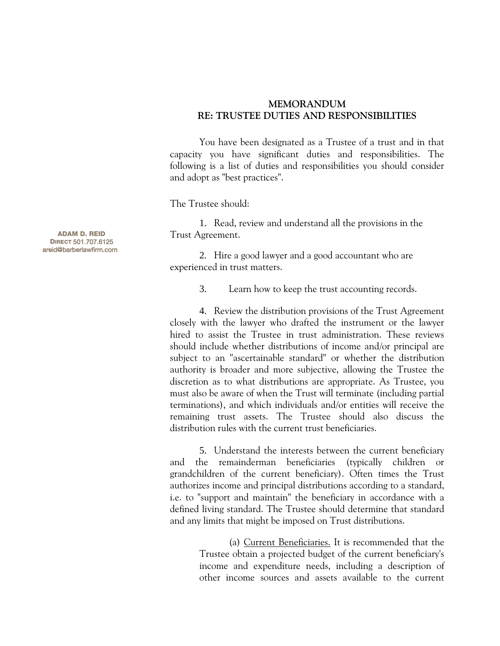## **MEMORANDUM RE: TRUSTEE DUTIES AND RESPONSIBILITIES**

You have been designated as a Trustee of a trust and in that capacity you have significant duties and responsibilities. The following is a list of duties and responsibilities you should consider and adopt as "best practices".

The Trustee should:

1. Read, review and understand all the provisions in the Trust Agreement.

2. Hire a good lawyer and a good accountant who are experienced in trust matters.

3. Learn how to keep the trust accounting records.

4. Review the distribution provisions of the Trust Agreement closely with the lawyer who drafted the instrument or the lawyer hired to assist the Trustee in trust administration. These reviews should include whether distributions of income and/or principal are subject to an "ascertainable standard" or whether the distribution authority is broader and more subjective, allowing the Trustee the discretion as to what distributions are appropriate. As Trustee, you must also be aware of when the Trust will terminate (including partial terminations), and which individuals and/or entities will receive the remaining trust assets. The Trustee should also discuss the distribution rules with the current trust beneficiaries.

5. Understand the interests between the current beneficiary and the remainderman beneficiaries (typically children or grandchildren of the current beneficiary). Often times the Trust authorizes income and principal distributions according to a standard, i.e. to "support and maintain" the beneficiary in accordance with a defined living standard. The Trustee should determine that standard and any limits that might be imposed on Trust distributions.

> (a) Current Beneficiaries. It is recommended that the Trustee obtain a projected budget of the current beneficiary's income and expenditure needs, including a description of other income sources and assets available to the current

 ADAM D. REID DIRECT 501.707.6125 areid@barberlawfirm.com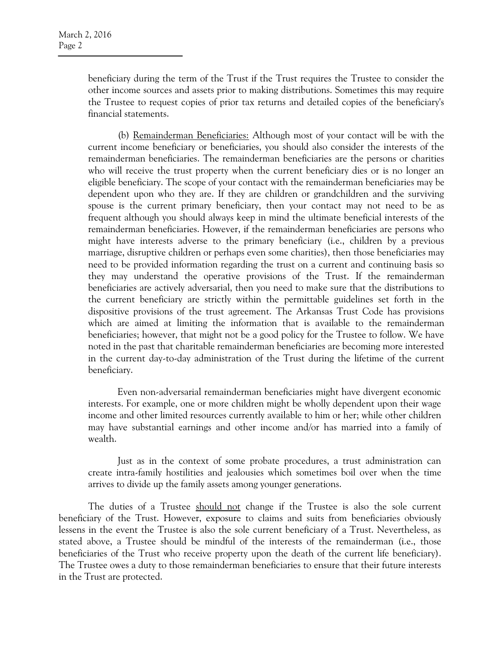beneficiary during the term of the Trust if the Trust requires the Trustee to consider the other income sources and assets prior to making distributions. Sometimes this may require the Trustee to request copies of prior tax returns and detailed copies of the beneficiary's financial statements.

(b) Remainderman Beneficiaries: Although most of your contact will be with the current income beneficiary or beneficiaries, you should also consider the interests of the remainderman beneficiaries. The remainderman beneficiaries are the persons or charities who will receive the trust property when the current beneficiary dies or is no longer an eligible beneficiary. The scope of your contact with the remainderman beneficiaries may be dependent upon who they are. If they are children or grandchildren and the surviving spouse is the current primary beneficiary, then your contact may not need to be as frequent although you should always keep in mind the ultimate beneficial interests of the remainderman beneficiaries. However, if the remainderman beneficiaries are persons who might have interests adverse to the primary beneficiary (i.e., children by a previous marriage, disruptive children or perhaps even some charities), then those beneficiaries may need to be provided information regarding the trust on a current and continuing basis so they may understand the operative provisions of the Trust. If the remainderman beneficiaries are actively adversarial, then you need to make sure that the distributions to the current beneficiary are strictly within the permittable guidelines set forth in the dispositive provisions of the trust agreement. The Arkansas Trust Code has provisions which are aimed at limiting the information that is available to the remainderman beneficiaries; however, that might not be a good policy for the Trustee to follow. We have noted in the past that charitable remainderman beneficiaries are becoming more interested in the current day-to-day administration of the Trust during the lifetime of the current beneficiary.

Even non-adversarial remainderman beneficiaries might have divergent economic interests. For example, one or more children might be wholly dependent upon their wage income and other limited resources currently available to him or her; while other children may have substantial earnings and other income and/or has married into a family of wealth.

Just as in the context of some probate procedures, a trust administration can create intra-family hostilities and jealousies which sometimes boil over when the time arrives to divide up the family assets among younger generations.

The duties of a Trustee should not change if the Trustee is also the sole current beneficiary of the Trust. However, exposure to claims and suits from beneficiaries obviously lessens in the event the Trustee is also the sole current beneficiary of a Trust. Nevertheless, as stated above, a Trustee should be mindful of the interests of the remainderman (i.e., those beneficiaries of the Trust who receive property upon the death of the current life beneficiary). The Trustee owes a duty to those remainderman beneficiaries to ensure that their future interests in the Trust are protected.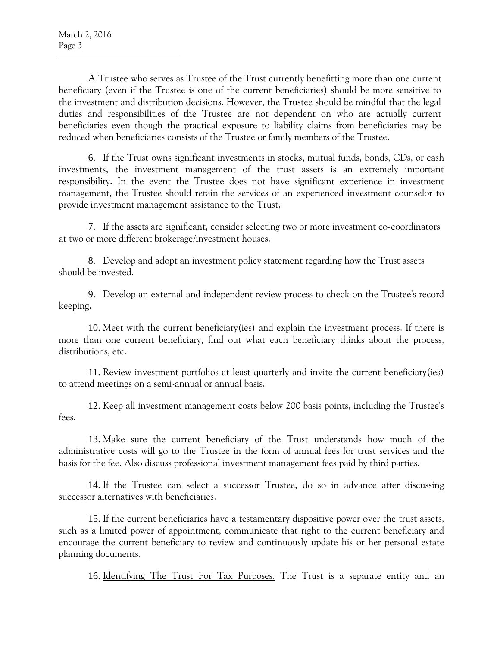A Trustee who serves as Trustee of the Trust currently benefitting more than one current beneficiary (even if the Trustee is one of the current beneficiaries) should be more sensitive to the investment and distribution decisions. However, the Trustee should be mindful that the legal duties and responsibilities of the Trustee are not dependent on who are actually current beneficiaries even though the practical exposure to liability claims from beneficiaries may be reduced when beneficiaries consists of the Trustee or family members of the Trustee.

6. If the Trust owns significant investments in stocks, mutual funds, bonds, CDs, or cash investments, the investment management of the trust assets is an extremely important responsibility. In the event the Trustee does not have significant experience in investment management, the Trustee should retain the services of an experienced investment counselor to provide investment management assistance to the Trust.

7. If the assets are significant, consider selecting two or more investment co-coordinators at two or more different brokerage/investment houses.

8. Develop and adopt an investment policy statement regarding how the Trust assets should be invested.

9. Develop an external and independent review process to check on the Trustee's record keeping.

10. Meet with the current beneficiary(ies) and explain the investment process. If there is more than one current beneficiary, find out what each beneficiary thinks about the process, distributions, etc.

11. Review investment portfolios at least quarterly and invite the current beneficiary(ies) to attend meetings on a semi-annual or annual basis.

12. Keep all investment management costs below 200 basis points, including the Trustee's fees.

13. Make sure the current beneficiary of the Trust understands how much of the administrative costs will go to the Trustee in the form of annual fees for trust services and the basis for the fee. Also discuss professional investment management fees paid by third parties.

14. If the Trustee can select a successor Trustee, do so in advance after discussing successor alternatives with beneficiaries.

15. If the current beneficiaries have a testamentary dispositive power over the trust assets, such as a limited power of appointment, communicate that right to the current beneficiary and encourage the current beneficiary to review and continuously update his or her personal estate planning documents.

16. Identifying The Trust For Tax Purposes. The Trust is a separate entity and an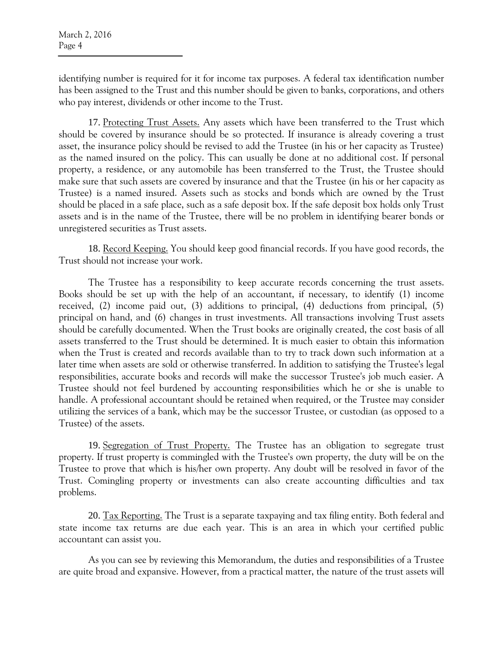identifying number is required for it for income tax purposes. A federal tax identification number has been assigned to the Trust and this number should be given to banks, corporations, and others who pay interest, dividends or other income to the Trust.

17. Protecting Trust Assets. Any assets which have been transferred to the Trust which should be covered by insurance should be so protected. If insurance is already covering a trust asset, the insurance policy should be revised to add the Trustee (in his or her capacity as Trustee) as the named insured on the policy. This can usually be done at no additional cost. If personal property, a residence, or any automobile has been transferred to the Trust, the Trustee should make sure that such assets are covered by insurance and that the Trustee (in his or her capacity as Trustee) is a named insured. Assets such as stocks and bonds which are owned by the Trust should be placed in a safe place, such as a safe deposit box. If the safe deposit box holds only Trust assets and is in the name of the Trustee, there will be no problem in identifying bearer bonds or unregistered securities as Trust assets.

18. Record Keeping. You should keep good financial records. If you have good records, the Trust should not increase your work.

The Trustee has a responsibility to keep accurate records concerning the trust assets. Books should be set up with the help of an accountant, if necessary, to identify (1) income received, (2) income paid out, (3) additions to principal, (4) deductions from principal, (5) principal on hand, and (6) changes in trust investments. All transactions involving Trust assets should be carefully documented. When the Trust books are originally created, the cost basis of all assets transferred to the Trust should be determined. It is much easier to obtain this information when the Trust is created and records available than to try to track down such information at a later time when assets are sold or otherwise transferred. In addition to satisfying the Trustee's legal responsibilities, accurate books and records will make the successor Trustee's job much easier. A Trustee should not feel burdened by accounting responsibilities which he or she is unable to handle. A professional accountant should be retained when required, or the Trustee may consider utilizing the services of a bank, which may be the successor Trustee, or custodian (as opposed to a Trustee) of the assets.

19. Segregation of Trust Property. The Trustee has an obligation to segregate trust property. If trust property is commingled with the Trustee's own property, the duty will be on the Trustee to prove that which is his/her own property. Any doubt will be resolved in favor of the Trust. Comingling property or investments can also create accounting difficulties and tax problems.

20. Tax Reporting. The Trust is a separate taxpaying and tax filing entity. Both federal and state income tax returns are due each year. This is an area in which your certified public accountant can assist you.

As you can see by reviewing this Memorandum, the duties and responsibilities of a Trustee are quite broad and expansive. However, from a practical matter, the nature of the trust assets will